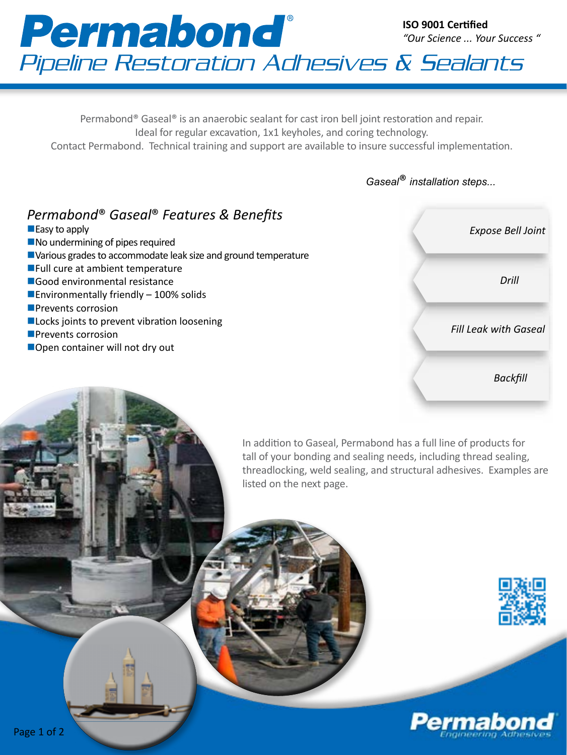### **Permabond**® **ISO 9001 Certified** *"Our Science ... Your Success "* Pipeline Restoration Adhesives & Sealants

Permabond® Gaseal® is an anaerobic sealant for cast iron bell joint restoration and repair. Ideal for regular excavation, 1x1 keyholes, and coring technology. Contact Permabond. Technical training and support are available to insure successful implementation.

*Gaseal*® *installation steps...*

## *Permabond*® *Gaseal*® *Features & Benefits*

- $\blacksquare$  Easy to apply
- $\blacksquare$  No undermining of pipes required
- Various grades to accommodate leak size and ground temperature
- $\blacksquare$  Full cure at ambient temperature
- $\square$  Good environmental resistance
- **Environmentally friendly 100% solids**
- **Prevents corrosion**
- **Locks joints to prevent vibration loosening**
- **Prevents corrosion**
- ■Open container will not dry out



In addition to Gaseal, Permabond has a full line of products for tall of your bonding and sealing needs, including thread sealing, threadlocking, weld sealing, and structural adhesives. Examples are listed on the next page.